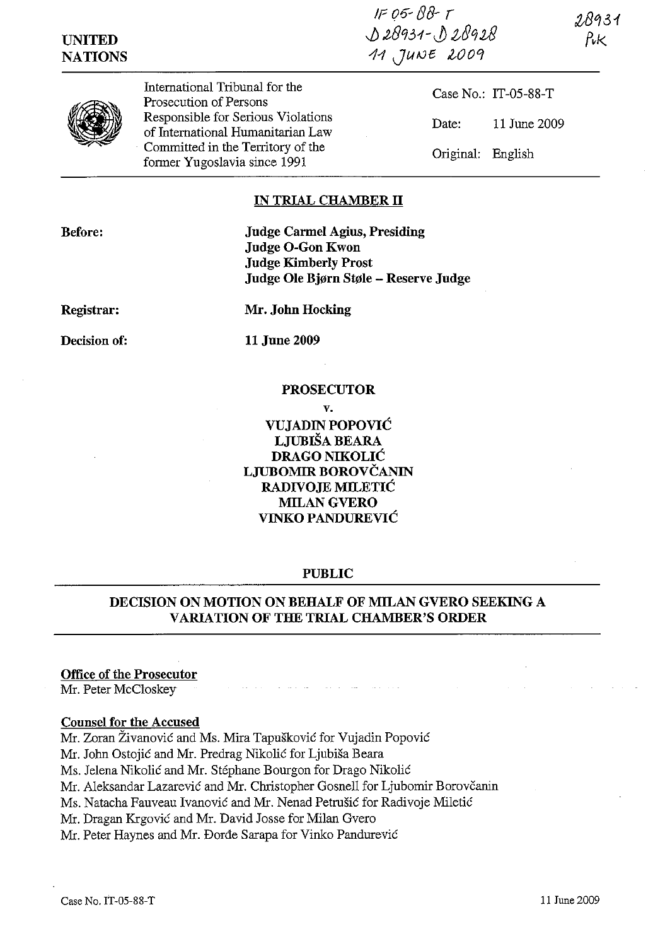IF 06- (J8- *r J)* 2fj931-J ~89UJ 11 JUNE 2009

**UNITED NATIONS**  28931



International Tribunal for the Prosecution of Persons Responsible for Serious Violations of International Humanitarian Law Committed in the Territory of the former Yugoslavia since 1991

Case No.: IT-05-88-T Date: 11 June 2009 Original: English

## **IN TRIAL CHAMBER II**

**Before:** 

**Judge Carmel Agius, Presiding Judge O-Gon Kwon Judge Kimberly Prost Judge Ole Bjørn Støle - Reserve Judge** 

**Registrar:** 

**Mr. John Hocking** 

**Decision of:** 

**11** June 2009

### **PROSECUTOR**

**v. VUJADIN POPOVIC LJUBISA BEARA DRAGO NIKOLIC LJUBOMIR BOROVCANIN RADIVOJE MILETIC MILANGVERO VINKO PANDUREVIC** 

### **PUBLIC**

# **DECISION ON MOTION ON BEHALF OF MILAN GVERO SEEKING A VARIATION OF THE TRIAL CHAMBER'S ORDER**

### **Office of the Prosecutor**

Mr. Peter McCloskey

### **Counsel for the Accused**

Mr. Zoran Zivanovic and Ms. Mira Tapuskovic for Vujadin Popovic

Mr. John Ostojić and Mr. Predrag Nikolić for Ljubiša Beara

Ms. Jelena Nikolic and Mr. Stephane Bourgon for Drago Nikolic

Mr. Aleksandar Lazarević and Mr. Christopher Gosnell for Ljubomir Borovčanin

Ms. Natacha Fauveau Ivanović and Mr. Nenad Petrušić for Radivoje Miletić

Mr. Dragan Krgovic and Mr. David Josse for Milan Gvero

Mr. Peter Haynes and Mr. Borde Sarapa for Vinko Pandurevic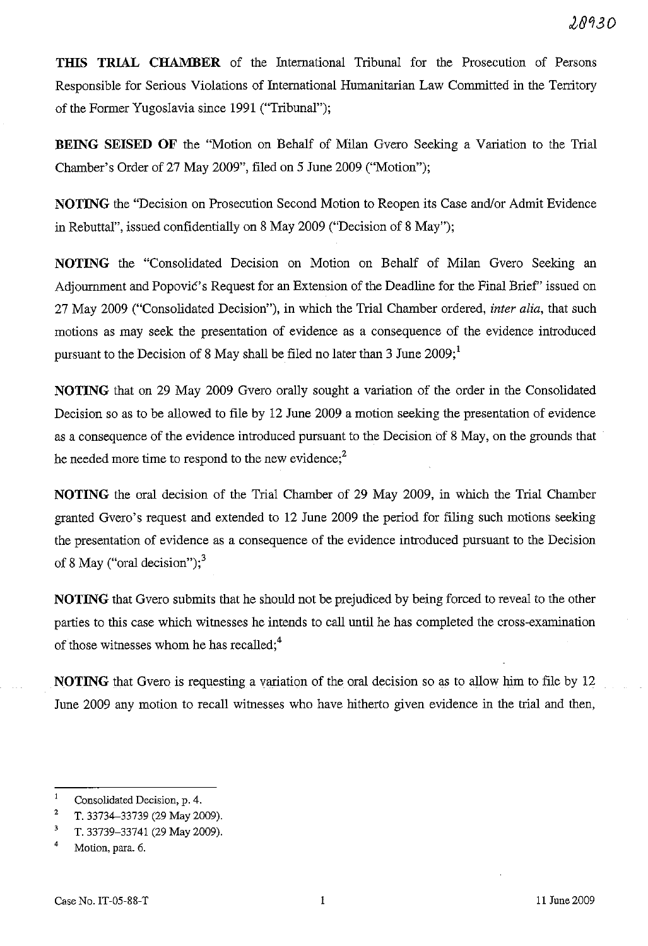**THIS TRIAL CHAMBER** of the International Tribunal for the Prosecution of Persons Responsible for Serious Violations of International Humanitarian Law Committed in the Territory of the Former Yugoslavia since 1991 ("Tribunal");

**BEING SEISED OF** the "Motion on Behalf of Milan Gvero Seeking a Variation to the Trial Chamber's Order of 27 May 2009", filed on 5 June 2009 ("Motion");

**NOTING** the "Decision on Prosecution Second Motion to Reopen its Case and/or Admit Evidence in Rebuttal", issued confidentially on 8 May 2009 ("Decision of 8 May");

**NOTING** the "Consolidated Decision on Motion on Behalf of Milan Gvero Seeking an Adjournment and Popović's Request for an Extension of the Deadline for the Final Brief'' issued on 27 May 2009 ("Consolidated Decision"), in which the Trial Chamber ordered, *inter alia,* that such motions as may seek the presentation of evidence as a consequence of the evidence introduced pursuant to the Decision of 8 May shall be filed no later than 3 June  $2009$ ;<sup>1</sup>

**NOTING** that on 29 May 2009 Gvero orally sought a variation of the order in the Consolidated Decision so as to be allowed to file by 12 June 2009 a motion seeking the presentation of evidence as a consequence of the evidence introduced pursuant to the Decision of 8 May, on the grounds that he needed more time to respond to the new evidence;<sup>2</sup>

**NOTING** the oral decision of the Trial Chamber of 29 May 2009, in which the Trial Chamber granted Gvero's request and extended to 12 June 2009 the period for filing such motions seeking the presentation of evidence as a consequence of the evidence introduced pursuant to the Decision of 8 May ("oral decision");<sup>3</sup>

**NOTING** that Gvero submits that he should not be prejudiced by being forced to reveal to the other parties to this case which witnesses he intends to call until he has completed the cross-examination of those witnesses whom he has recalled;<sup>4</sup>

**NOTING** that Gvero is requesting a variation of the oral decision so as to allow him to file by 12 June 2009 any motion to recall witnesses who have hitherto given evidence in the trial and then,

 $\mathbf{1}$ Consolidated Decision, p. 4.

<sup>2</sup>  T. 33734-33739 (29 May 2009).

<sup>3</sup>  T. 33739-33741 (29 May 2009).

<sup>4</sup>  Motion, para. 6.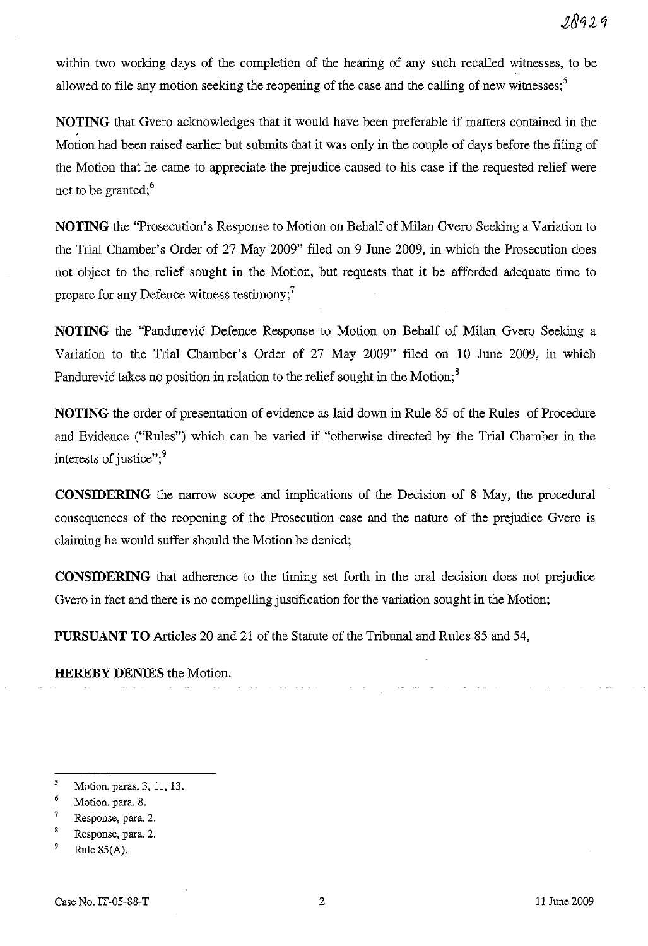within two working days of the completion of the hearing of any such recalled witnesses, to be allowed to file any motion seeking the reopening of the case and the calling of new witnesses;<sup>5</sup>

**NOTING** that Gvero acknowledges that it would have been preferable if matters contained in the Motion had been raised earlier but submits that it was only in the couple of days before the filing of the Motion that he came to appreciate the prejudice caused to his case if the requested relief were not to be granted;<sup>6</sup>

**NOTING** the "Prosecution's Response to Motion on Behalf of Milan Gvero Seeking a Variation to the Trial Chamber's Order of 27 May 2009" filed on 9 June 2009, in which the Prosecution does not object to the relief sought in the Motion, but requests that it be afforded adequate time to prepare for any Defence witness testimony;<sup>7</sup>

**NOTING** the "Pandurevic Defence Response to Motion on Behalf of Milan Gvero Seeking a Variation to the Trial Chamber's Order of 27 May 2009" filed on 10 June 2009, in which Pandurevic takes no position in relation to the relief sought in the Motion; $<sup>8</sup>$ </sup>

**NOTING** the order of presentation of evidence as laid down in Rule 85 of the Rules of Procedure and Evidence ("Rules") which can be varied if "otherwise directed by the Trial Chamber in the interests of justice"; $9$ 

**CONSIDERING** the narrow scope and implications of the Decision of 8 May, the procedural consequences of the reopening of the Prosecution case and the nature of the prejudice Gvero is claiming he would suffer should the Motion be denied;

**CONSIDERING** that adherence to the timing set forth in the oral decision does not prejudice Gvero in fact and there is no compelling justification for the variation sought in the Motion;

**PURSUANT TO** Articles 20 and 21 of the Statute of the Tribunal and Rules 85 and 54,

**HEREBY DENIES** the Motion.

<sup>5</sup>  Motion, paras. 3, 11, 13.

<sup>6</sup>  Motion, para. 8.

<sup>7</sup>  Response, para. 2.

 $\bf{8}$ Response, para. 2.

<sup>9</sup> Rule 8S(A).